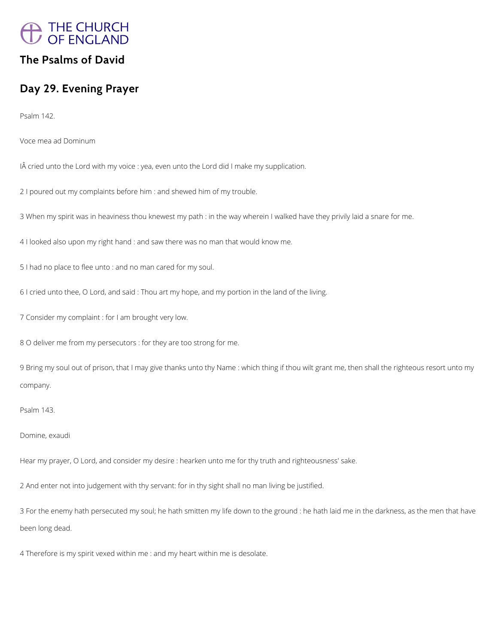

## **The Psalms of David**

# **Day 29. Evening Prayer**

Psalm 142.

Voce mea ad Dominum

IÂ cried unto the Lord with my voice : yea, even unto the Lord did I make my supplication.

2 I poured out my complaints before him : and shewed him of my trouble.

3 When my spirit was in heaviness thou knewest my path : in the way wherein I walked have they privily laid a snare for me.

4 I looked also upon my right hand : and saw there was no man that would know me.

5 I had no place to flee unto : and no man cared for my soul.

6 I cried unto thee, O Lord, and said : Thou art my hope, and my portion in the land of the living.

7 Consider my complaint : for I am brought very low.

8 O deliver me from my persecutors : for they are too strong for me.

9 Bring my soul out of prison, that I may give thanks unto thy Name : which thing if thou wilt grant me, then shall the righteous resort unto my company.

Psalm 143.

Domine, exaudi

Hear my prayer, O Lord, and consider my desire : hearken unto me for thy truth and righteousness' sake.

2 And enter not into judgement with thy servant: for in thy sight shall no man living be justified.

3 For the enemy hath persecuted my soul; he hath smitten my life down to the ground : he hath laid me in the darkness, as the men that have

been long dead.

4 Therefore is my spirit vexed within me : and my heart within me is desolate.